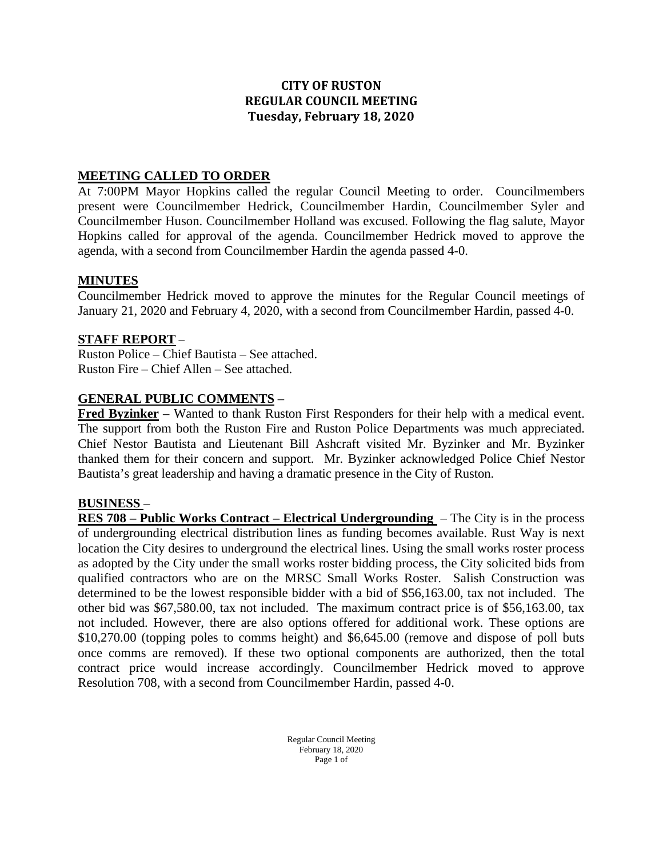## **CITY OF RUSTON REGULAR COUNCIL MEETING Tuesday, February 18, 2020**

#### **MEETING CALLED TO ORDER**

At 7:00PM Mayor Hopkins called the regular Council Meeting to order. Councilmembers present were Councilmember Hedrick, Councilmember Hardin, Councilmember Syler and Councilmember Huson. Councilmember Holland was excused. Following the flag salute, Mayor Hopkins called for approval of the agenda. Councilmember Hedrick moved to approve the agenda, with a second from Councilmember Hardin the agenda passed 4-0.

### **MINUTES**

Councilmember Hedrick moved to approve the minutes for the Regular Council meetings of January 21, 2020 and February 4, 2020, with a second from Councilmember Hardin, passed 4-0.

### **STAFF REPORT** –

Ruston Police – Chief Bautista – See attached. Ruston Fire – Chief Allen – See attached.

### **GENERAL PUBLIC COMMENTS** –

**Fred Byzinker** – Wanted to thank Ruston First Responders for their help with a medical event. The support from both the Ruston Fire and Ruston Police Departments was much appreciated. Chief Nestor Bautista and Lieutenant Bill Ashcraft visited Mr. Byzinker and Mr. Byzinker thanked them for their concern and support. Mr. Byzinker acknowledged Police Chief Nestor Bautista's great leadership and having a dramatic presence in the City of Ruston.

#### **BUSINESS** –

**RES 708 – Public Works Contract – Electrical Undergrounding** – The City is in the process of undergrounding electrical distribution lines as funding becomes available. Rust Way is next location the City desires to underground the electrical lines. Using the small works roster process as adopted by the City under the small works roster bidding process, the City solicited bids from qualified contractors who are on the MRSC Small Works Roster. Salish Construction was determined to be the lowest responsible bidder with a bid of \$56,163.00, tax not included. The other bid was \$67,580.00, tax not included. The maximum contract price is of \$56,163.00, tax not included. However, there are also options offered for additional work. These options are \$10,270.00 (topping poles to comms height) and \$6,645.00 (remove and dispose of poll buts once comms are removed). If these two optional components are authorized, then the total contract price would increase accordingly. Councilmember Hedrick moved to approve Resolution 708, with a second from Councilmember Hardin, passed 4-0.

> Regular Council Meeting February 18, 2020 Page 1 of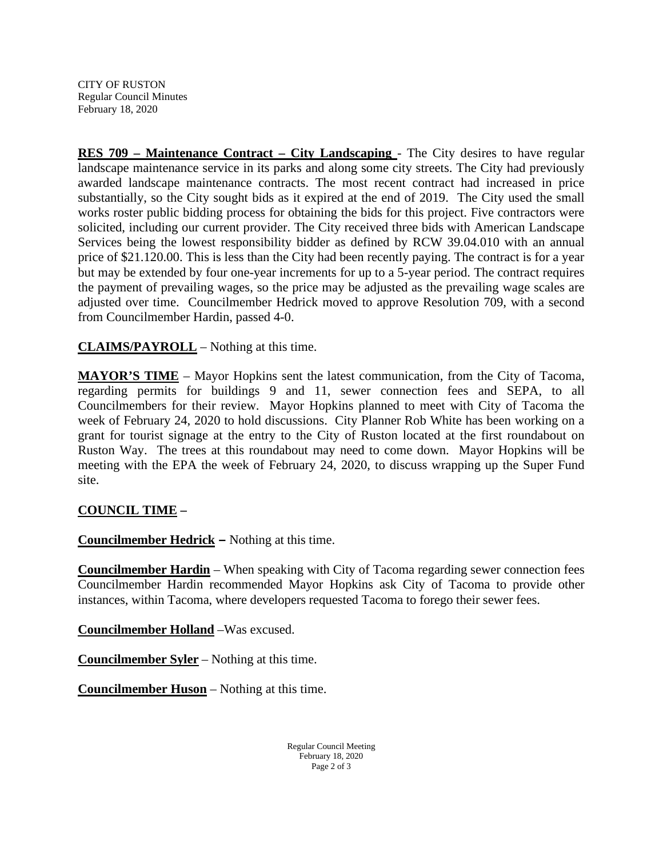CITY OF RUSTON Regular Council Minutes February 18, 2020

**RES 709 – Maintenance Contract – City Landscaping** - The City desires to have regular landscape maintenance service in its parks and along some city streets. The City had previously awarded landscape maintenance contracts. The most recent contract had increased in price substantially, so the City sought bids as it expired at the end of 2019. The City used the small works roster public bidding process for obtaining the bids for this project. Five contractors were solicited, including our current provider. The City received three bids with American Landscape Services being the lowest responsibility bidder as defined by RCW 39.04.010 with an annual price of \$21.120.00. This is less than the City had been recently paying. The contract is for a year but may be extended by four one-year increments for up to a 5-year period. The contract requires the payment of prevailing wages, so the price may be adjusted as the prevailing wage scales are adjusted over time. Councilmember Hedrick moved to approve Resolution 709, with a second from Councilmember Hardin, passed 4-0.

**CLAIMS/PAYROLL** – Nothing at this time.

**MAYOR'S TIME** – Mayor Hopkins sent the latest communication, from the City of Tacoma, regarding permits for buildings 9 and 11, sewer connection fees and SEPA, to all Councilmembers for their review. Mayor Hopkins planned to meet with City of Tacoma the week of February 24, 2020 to hold discussions. City Planner Rob White has been working on a grant for tourist signage at the entry to the City of Ruston located at the first roundabout on Ruston Way. The trees at this roundabout may need to come down. Mayor Hopkins will be meeting with the EPA the week of February 24, 2020, to discuss wrapping up the Super Fund site.

## **COUNCIL TIME –**

**Councilmember Hedrick –** Nothing at this time.

**Councilmember Hardin** – When speaking with City of Tacoma regarding sewer connection fees Councilmember Hardin recommended Mayor Hopkins ask City of Tacoma to provide other instances, within Tacoma, where developers requested Tacoma to forego their sewer fees.

**Councilmember Holland** –Was excused.

**Councilmember Syler** – Nothing at this time.

**Councilmember Huson** – Nothing at this time.

Regular Council Meeting February 18, 2020 Page 2 of 3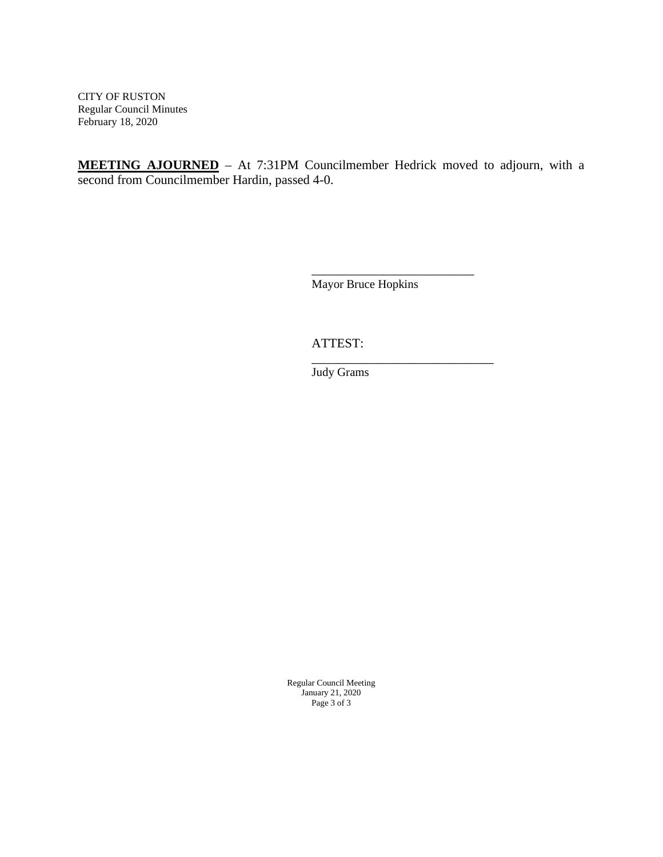CITY OF RUSTON Regular Council Minutes February 18, 2020

**MEETING AJOURNED** – At 7:31PM Councilmember Hedrick moved to adjourn, with a second from Councilmember Hardin, passed 4-0.

> \_\_\_\_\_\_\_\_\_\_\_\_\_\_\_\_\_\_\_\_\_\_\_\_\_ Mayor Bruce Hopkins

\_\_\_\_\_\_\_\_\_\_\_\_\_\_\_\_\_\_\_\_\_\_\_\_\_\_\_\_

ATTEST:

Judy Grams

Regular Council Meeting January 21, 2020 Page 3 of 3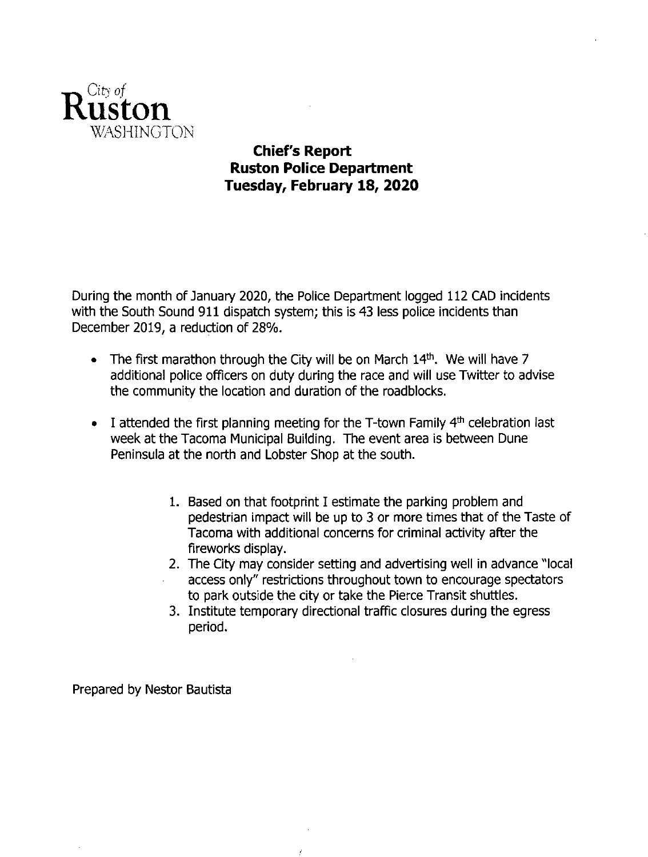

# **Chief's Report Ruston Police Department** Tuesday, February 18, 2020

During the month of January 2020, the Police Department logged 112 CAD incidents with the South Sound 911 dispatch system; this is 43 less police incidents than December 2019, a reduction of 28%.

- The first marathon through the City will be on March 14th. We will have 7  $\bullet$ additional police officers on duty during the race and will use Twitter to advise the community the location and duration of the roadblocks.
- I attended the first planning meeting for the T-town Family 4th celebration last  $\bullet$ week at the Tacoma Municipal Building. The event area is between Dune Peninsula at the north and Lobster Shop at the south.
	- 1. Based on that footprint I estimate the parking problem and pedestrian impact will be up to 3 or more times that of the Taste of Tacoma with additional concerns for criminal activity after the fireworks display.
	- 2. The City may consider setting and advertising well in advance "local access only" restrictions throughout town to encourage spectators to park outside the city or take the Pierce Transit shuttles.
	- 3. Institute temporary directional traffic closures during the egress period.

Prepared by Nestor Bautista